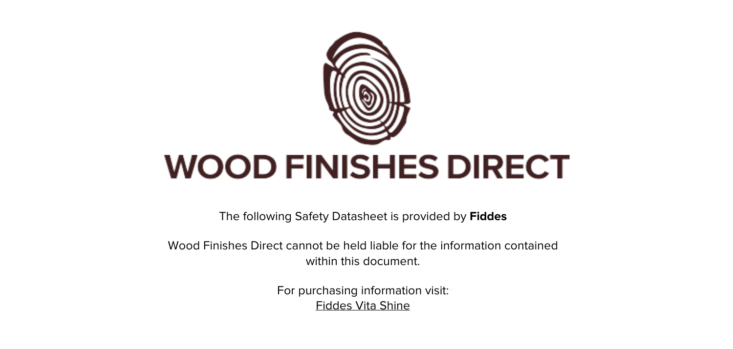

The following Safety Datasheet is provided by **Fiddes**

Wood Finishes Direct cannot be held liable for the information contained within this document.

> For purchasing information visit: [Fiddes Vita Shine](https://www.wood-finishes-direct.com/product/fiddes-vita-shine)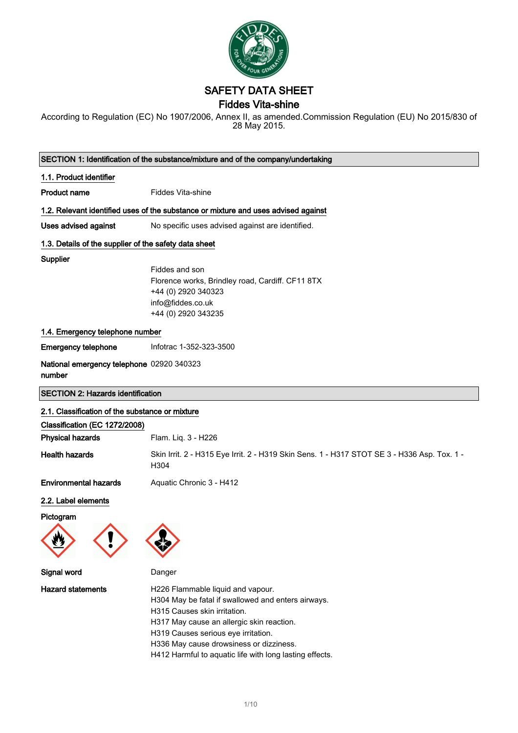

# SAFETY DATA SHEET

### Fiddes Vita-shine

According to Regulation (EC) No 1907/2006, Annex II, as amended.Commission Regulation (EU) No 2015/830 of 28 May 2015.

|                                                       | SECTION 1: Identification of the substance/mixture and of the company/undertaking                                                                                                                                                                                                                                 |
|-------------------------------------------------------|-------------------------------------------------------------------------------------------------------------------------------------------------------------------------------------------------------------------------------------------------------------------------------------------------------------------|
| 1.1. Product identifier                               |                                                                                                                                                                                                                                                                                                                   |
| <b>Product name</b>                                   | <b>Fiddes Vita-shine</b>                                                                                                                                                                                                                                                                                          |
|                                                       | 1.2. Relevant identified uses of the substance or mixture and uses advised against                                                                                                                                                                                                                                |
| <b>Uses advised against</b>                           | No specific uses advised against are identified.                                                                                                                                                                                                                                                                  |
| 1.3. Details of the supplier of the safety data sheet |                                                                                                                                                                                                                                                                                                                   |
| Supplier                                              | Fiddes and son<br>Florence works, Brindley road, Cardiff. CF11 8TX<br>+44 (0) 2920 340323<br>info@fiddes.co.uk<br>+44 (0) 2920 343235                                                                                                                                                                             |
| 1.4. Emergency telephone number                       |                                                                                                                                                                                                                                                                                                                   |
| <b>Emergency telephone</b>                            | Infotrac 1-352-323-3500                                                                                                                                                                                                                                                                                           |
| National emergency telephone 02920 340323<br>number   |                                                                                                                                                                                                                                                                                                                   |
| <b>SECTION 2: Hazards identification</b>              |                                                                                                                                                                                                                                                                                                                   |
| 2.1. Classification of the substance or mixture       |                                                                                                                                                                                                                                                                                                                   |
| Classification (EC 1272/2008)                         |                                                                                                                                                                                                                                                                                                                   |
| <b>Physical hazards</b>                               | Flam. Liq. 3 - H226                                                                                                                                                                                                                                                                                               |
| <b>Health hazards</b>                                 | Skin Irrit. 2 - H315 Eye Irrit. 2 - H319 Skin Sens. 1 - H317 STOT SE 3 - H336 Asp. Tox. 1 -<br>H304                                                                                                                                                                                                               |
| <b>Environmental hazards</b>                          | Aquatic Chronic 3 - H412                                                                                                                                                                                                                                                                                          |
| 2.2. Label elements                                   |                                                                                                                                                                                                                                                                                                                   |
| Pictogram                                             |                                                                                                                                                                                                                                                                                                                   |
| W                                                     |                                                                                                                                                                                                                                                                                                                   |
| <b>Signal word</b>                                    | Danger                                                                                                                                                                                                                                                                                                            |
| <b>Hazard statements</b>                              | H226 Flammable liquid and vapour.<br>H304 May be fatal if swallowed and enters airways.<br>H315 Causes skin irritation.<br>H317 May cause an allergic skin reaction.<br>H319 Causes serious eye irritation.<br>H336 May cause drowsiness or dizziness.<br>H412 Harmful to aquatic life with long lasting effects. |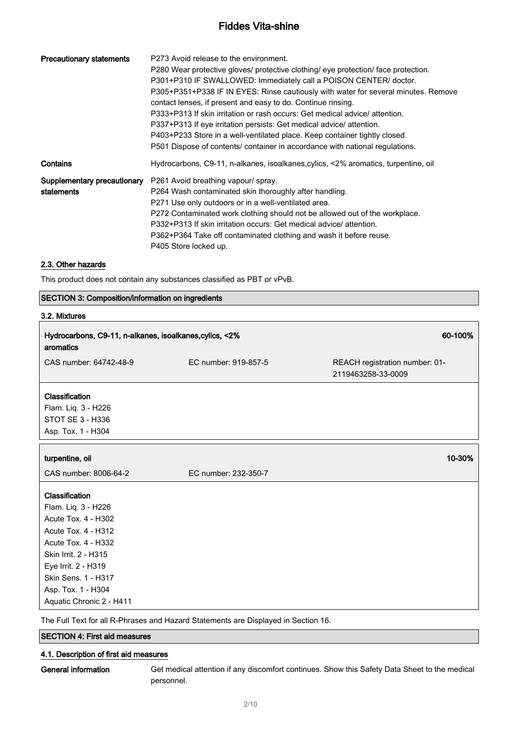| <b>Precautionary statements</b>           | P273 Avoid release to the environment.<br>P280 Wear protective gloves/ protective clothing/ eye protection/ face protection.<br>P301+P310 IF SWALLOWED: Immediately call a POISON CENTER/ doctor.<br>P305+P351+P338 IF IN EYES: Rinse cautiously with water for several minutes. Remove<br>contact lenses, if present and easy to do. Continue rinsing.<br>P333+P313 If skin irritation or rash occurs: Get medical advice/ attention.<br>P337+P313 If eye irritation persists: Get medical advice/attention.<br>P403+P233 Store in a well-ventilated place. Keep container tightly closed.<br>P501 Dispose of contents/ container in accordance with national regulations. |
|-------------------------------------------|-----------------------------------------------------------------------------------------------------------------------------------------------------------------------------------------------------------------------------------------------------------------------------------------------------------------------------------------------------------------------------------------------------------------------------------------------------------------------------------------------------------------------------------------------------------------------------------------------------------------------------------------------------------------------------|
| Contains                                  | Hydrocarbons, C9-11, n-alkanes, isoalkanes, cylics, <2% aromatics, turpentine, oil                                                                                                                                                                                                                                                                                                                                                                                                                                                                                                                                                                                          |
| Supplementary precautionary<br>statements | P261 Avoid breathing vapour/ spray.<br>P264 Wash contaminated skin thoroughly after handling.<br>P271 Use only outdoors or in a well-ventilated area.<br>P272 Contaminated work clothing should not be allowed out of the workplace.<br>P332+P313 If skin irritation occurs: Get medical advice/ attention.<br>P362+P364 Take off contaminated clothing and wash it before reuse.<br>P405 Store locked up.                                                                                                                                                                                                                                                                  |

#### 2.3. Other hazards

This product does not contain any substances classified as PBT or vPvB.

#### SECTION 3: Composition/information on ingredients

### 3.2. Mixtures

| Hydrocarbons, C9-11, n-alkanes, isoalkanes, cylics, <2%<br>aromatics                                                                                                                                                                      |                      | 60-100%                                              |
|-------------------------------------------------------------------------------------------------------------------------------------------------------------------------------------------------------------------------------------------|----------------------|------------------------------------------------------|
| CAS number: 64742-48-9                                                                                                                                                                                                                    | EC number: 919-857-5 | REACH registration number: 01-<br>2119463258-33-0009 |
| <b>Classification</b><br>Flam. Liq. 3 - H226<br>STOT SE 3 - H336<br>Asp. Tox. 1 - H304                                                                                                                                                    |                      |                                                      |
| turpentine, oil                                                                                                                                                                                                                           |                      | 10-30%                                               |
| CAS number: 8006-64-2                                                                                                                                                                                                                     | EC number: 232-350-7 |                                                      |
| Classification<br>Flam. Liq. 3 - H226<br>Acute Tox. 4 - H302<br>Acute Tox. 4 - H312<br>Acute Tox. 4 - H332<br>Skin Irrit. 2 - H315<br>Eye Irrit. 2 - H319<br><b>Skin Sens. 1 - H317</b><br>Asp. Tox. 1 - H304<br>Aquatic Chronic 2 - H411 |                      |                                                      |

The Full Text for all R-Phrases and Hazard Statements are Displayed in Section 16.

### SECTION 4: First aid measures

#### 4.1. Description of first aid measures

General information Get medical attention if any discomfort continues. Show this Safety Data Sheet to the medical personnel.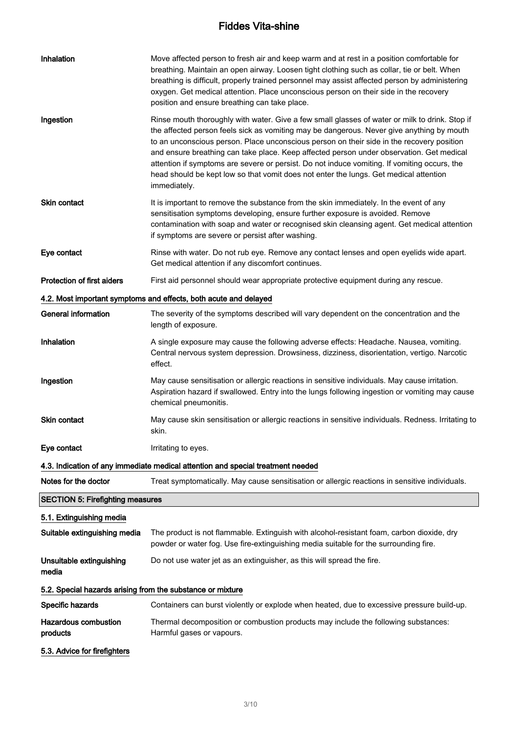| Inhalation                                                 | Move affected person to fresh air and keep warm and at rest in a position comfortable for<br>breathing. Maintain an open airway. Loosen tight clothing such as collar, tie or belt. When<br>breathing is difficult, properly trained personnel may assist affected person by administering<br>oxygen. Get medical attention. Place unconscious person on their side in the recovery<br>position and ensure breathing can take place.                                                                                                                                                          |
|------------------------------------------------------------|-----------------------------------------------------------------------------------------------------------------------------------------------------------------------------------------------------------------------------------------------------------------------------------------------------------------------------------------------------------------------------------------------------------------------------------------------------------------------------------------------------------------------------------------------------------------------------------------------|
| Ingestion                                                  | Rinse mouth thoroughly with water. Give a few small glasses of water or milk to drink. Stop if<br>the affected person feels sick as vomiting may be dangerous. Never give anything by mouth<br>to an unconscious person. Place unconscious person on their side in the recovery position<br>and ensure breathing can take place. Keep affected person under observation. Get medical<br>attention if symptoms are severe or persist. Do not induce vomiting. If vomiting occurs, the<br>head should be kept low so that vomit does not enter the lungs. Get medical attention<br>immediately. |
| Skin contact                                               | It is important to remove the substance from the skin immediately. In the event of any<br>sensitisation symptoms developing, ensure further exposure is avoided. Remove<br>contamination with soap and water or recognised skin cleansing agent. Get medical attention<br>if symptoms are severe or persist after washing.                                                                                                                                                                                                                                                                    |
| Eye contact                                                | Rinse with water. Do not rub eye. Remove any contact lenses and open eyelids wide apart.<br>Get medical attention if any discomfort continues.                                                                                                                                                                                                                                                                                                                                                                                                                                                |
| <b>Protection of first aiders</b>                          | First aid personnel should wear appropriate protective equipment during any rescue.                                                                                                                                                                                                                                                                                                                                                                                                                                                                                                           |
|                                                            | 4.2. Most important symptoms and effects, both acute and delayed                                                                                                                                                                                                                                                                                                                                                                                                                                                                                                                              |
| <b>General information</b>                                 | The severity of the symptoms described will vary dependent on the concentration and the<br>length of exposure.                                                                                                                                                                                                                                                                                                                                                                                                                                                                                |
| Inhalation                                                 | A single exposure may cause the following adverse effects: Headache. Nausea, vomiting.<br>Central nervous system depression. Drowsiness, dizziness, disorientation, vertigo. Narcotic<br>effect.                                                                                                                                                                                                                                                                                                                                                                                              |
| Ingestion                                                  | May cause sensitisation or allergic reactions in sensitive individuals. May cause irritation.<br>Aspiration hazard if swallowed. Entry into the lungs following ingestion or vomiting may cause<br>chemical pneumonitis.                                                                                                                                                                                                                                                                                                                                                                      |
| <b>Skin contact</b>                                        | May cause skin sensitisation or allergic reactions in sensitive individuals. Redness. Irritating to<br>skin.                                                                                                                                                                                                                                                                                                                                                                                                                                                                                  |
| Eye contact                                                | Irritating to eyes.                                                                                                                                                                                                                                                                                                                                                                                                                                                                                                                                                                           |
|                                                            | 4.3. Indication of any immediate medical attention and special treatment needed                                                                                                                                                                                                                                                                                                                                                                                                                                                                                                               |
| Notes for the doctor                                       | Treat symptomatically. May cause sensitisation or allergic reactions in sensitive individuals.                                                                                                                                                                                                                                                                                                                                                                                                                                                                                                |
| <b>SECTION 5: Firefighting measures</b>                    |                                                                                                                                                                                                                                                                                                                                                                                                                                                                                                                                                                                               |
| 5.1. Extinguishing media                                   |                                                                                                                                                                                                                                                                                                                                                                                                                                                                                                                                                                                               |
| Suitable extinguishing media                               | The product is not flammable. Extinguish with alcohol-resistant foam, carbon dioxide, dry<br>powder or water fog. Use fire-extinguishing media suitable for the surrounding fire.                                                                                                                                                                                                                                                                                                                                                                                                             |
| Unsuitable extinguishing<br>media                          | Do not use water jet as an extinguisher, as this will spread the fire.                                                                                                                                                                                                                                                                                                                                                                                                                                                                                                                        |
| 5.2. Special hazards arising from the substance or mixture |                                                                                                                                                                                                                                                                                                                                                                                                                                                                                                                                                                                               |
| Specific hazards                                           | Containers can burst violently or explode when heated, due to excessive pressure build-up.                                                                                                                                                                                                                                                                                                                                                                                                                                                                                                    |
| <b>Hazardous combustion</b><br>products                    | Thermal decomposition or combustion products may include the following substances:<br>Harmful gases or vapours.                                                                                                                                                                                                                                                                                                                                                                                                                                                                               |
| 5.3. Advice for firefighters                               |                                                                                                                                                                                                                                                                                                                                                                                                                                                                                                                                                                                               |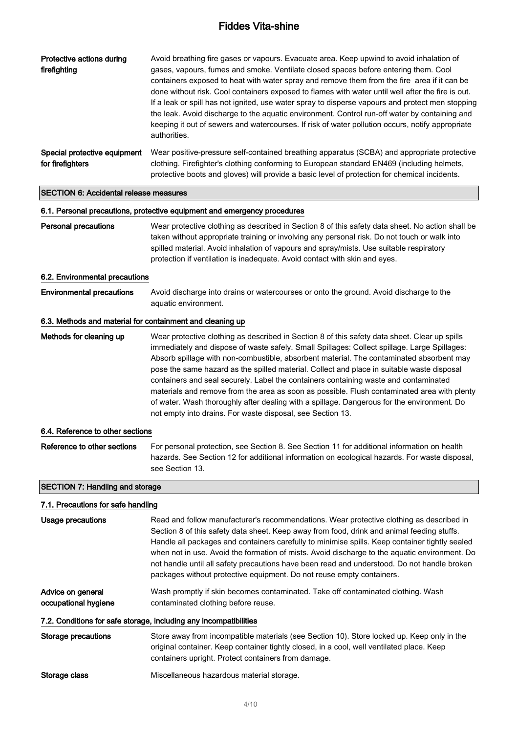| Protective actions during<br>firefighting                 | Avoid breathing fire gases or vapours. Evacuate area. Keep upwind to avoid inhalation of<br>gases, vapours, fumes and smoke. Ventilate closed spaces before entering them. Cool<br>containers exposed to heat with water spray and remove them from the fire area if it can be<br>done without risk. Cool containers exposed to flames with water until well after the fire is out.<br>If a leak or spill has not ignited, use water spray to disperse vapours and protect men stopping<br>the leak. Avoid discharge to the aquatic environment. Control run-off water by containing and<br>keeping it out of sewers and watercourses. If risk of water pollution occurs, notify appropriate<br>authorities.                               |
|-----------------------------------------------------------|--------------------------------------------------------------------------------------------------------------------------------------------------------------------------------------------------------------------------------------------------------------------------------------------------------------------------------------------------------------------------------------------------------------------------------------------------------------------------------------------------------------------------------------------------------------------------------------------------------------------------------------------------------------------------------------------------------------------------------------------|
| Special protective equipment<br>for firefighters          | Wear positive-pressure self-contained breathing apparatus (SCBA) and appropriate protective<br>clothing. Firefighter's clothing conforming to European standard EN469 (including helmets,<br>protective boots and gloves) will provide a basic level of protection for chemical incidents.                                                                                                                                                                                                                                                                                                                                                                                                                                                 |
| <b>SECTION 6: Accidental release measures</b>             |                                                                                                                                                                                                                                                                                                                                                                                                                                                                                                                                                                                                                                                                                                                                            |
|                                                           | 6.1. Personal precautions, protective equipment and emergency procedures                                                                                                                                                                                                                                                                                                                                                                                                                                                                                                                                                                                                                                                                   |
| <b>Personal precautions</b>                               | Wear protective clothing as described in Section 8 of this safety data sheet. No action shall be<br>taken without appropriate training or involving any personal risk. Do not touch or walk into<br>spilled material. Avoid inhalation of vapours and spray/mists. Use suitable respiratory<br>protection if ventilation is inadequate. Avoid contact with skin and eyes.                                                                                                                                                                                                                                                                                                                                                                  |
| 6.2. Environmental precautions                            |                                                                                                                                                                                                                                                                                                                                                                                                                                                                                                                                                                                                                                                                                                                                            |
| <b>Environmental precautions</b>                          | Avoid discharge into drains or watercourses or onto the ground. Avoid discharge to the<br>aquatic environment.                                                                                                                                                                                                                                                                                                                                                                                                                                                                                                                                                                                                                             |
| 6.3. Methods and material for containment and cleaning up |                                                                                                                                                                                                                                                                                                                                                                                                                                                                                                                                                                                                                                                                                                                                            |
| Methods for cleaning up                                   | Wear protective clothing as described in Section 8 of this safety data sheet. Clear up spills<br>immediately and dispose of waste safely. Small Spillages: Collect spillage. Large Spillages:<br>Absorb spillage with non-combustible, absorbent material. The contaminated absorbent may<br>pose the same hazard as the spilled material. Collect and place in suitable waste disposal<br>containers and seal securely. Label the containers containing waste and contaminated<br>materials and remove from the area as soon as possible. Flush contaminated area with plenty<br>of water. Wash thoroughly after dealing with a spillage. Dangerous for the environment. Do<br>not empty into drains. For waste disposal, see Section 13. |
| 6.4. Reference to other sections                          |                                                                                                                                                                                                                                                                                                                                                                                                                                                                                                                                                                                                                                                                                                                                            |
| Reference to other sections                               | For personal protection, see Section 8. See Section 11 for additional information on health<br>hazards. See Section 12 for additional information on ecological hazards. For waste disposal,<br>see Section 13.                                                                                                                                                                                                                                                                                                                                                                                                                                                                                                                            |
| <b>SECTION 7: Handling and storage</b>                    |                                                                                                                                                                                                                                                                                                                                                                                                                                                                                                                                                                                                                                                                                                                                            |
| 7.1. Precautions for safe handling                        |                                                                                                                                                                                                                                                                                                                                                                                                                                                                                                                                                                                                                                                                                                                                            |
| <b>Usage precautions</b>                                  | Read and follow manufacturer's recommendations. Wear protective clothing as described in<br>Section 8 of this safety data sheet. Keep away from food, drink and animal feeding stuffs.<br>Handle all packages and containers carefully to minimise spills. Keep container tightly sealed<br>when not in use. Avoid the formation of mists. Avoid discharge to the aquatic environment. Do<br>not handle until all safety precautions have been read and understood. Do not handle broken<br>packages without protective equipment. Do not reuse empty containers.                                                                                                                                                                          |
| Advice on general<br>occupational hygiene                 | Wash promptly if skin becomes contaminated. Take off contaminated clothing. Wash<br>contaminated clothing before reuse.                                                                                                                                                                                                                                                                                                                                                                                                                                                                                                                                                                                                                    |
|                                                           | 7.2. Conditions for safe storage, including any incompatibilities                                                                                                                                                                                                                                                                                                                                                                                                                                                                                                                                                                                                                                                                          |
| <b>Storage precautions</b>                                | Store away from incompatible materials (see Section 10). Store locked up. Keep only in the<br>original container. Keep container tightly closed, in a cool, well ventilated place. Keep<br>containers upright. Protect containers from damage.                                                                                                                                                                                                                                                                                                                                                                                                                                                                                             |
| Storage class                                             | Miscellaneous hazardous material storage.                                                                                                                                                                                                                                                                                                                                                                                                                                                                                                                                                                                                                                                                                                  |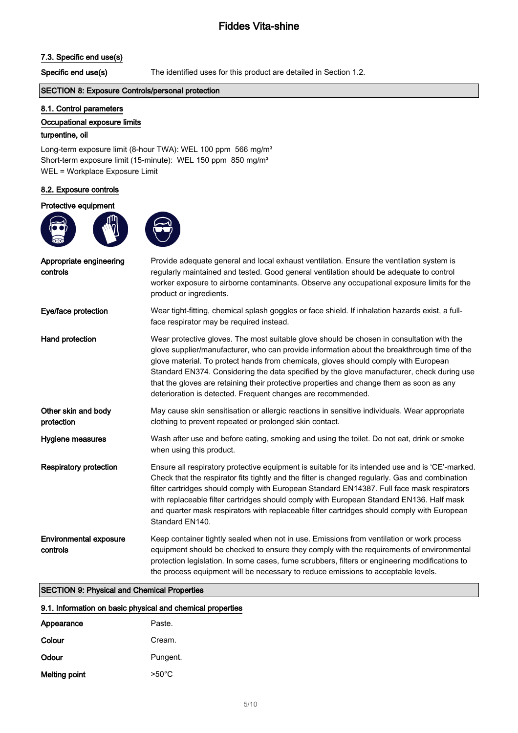#### 7.3. Specific end use(s)

Specific end use(s) The identified uses for this product are detailed in Section 1.2.

#### SECTION 8: Exposure Controls/personal protection

#### 8.1. Control parameters

#### Occupational exposure limits

#### turpentine, oil

Long-term exposure limit (8-hour TWA): WEL 100 ppm 566 mg/m<sup>3</sup> Short-term exposure limit (15-minute): WEL 150 ppm 850 mg/m<sup>3</sup> WEL = Workplace Exposure Limit

#### 8.2. Exposure controls

#### Protective equipment





| Appropriate engineering<br>controls       | Provide adequate general and local exhaust ventilation. Ensure the ventilation system is<br>regularly maintained and tested. Good general ventilation should be adequate to control<br>worker exposure to airborne contaminants. Observe any occupational exposure limits for the<br>product or ingredients.                                                                                                                                                                                                                              |
|-------------------------------------------|-------------------------------------------------------------------------------------------------------------------------------------------------------------------------------------------------------------------------------------------------------------------------------------------------------------------------------------------------------------------------------------------------------------------------------------------------------------------------------------------------------------------------------------------|
| Eye/face protection                       | Wear tight-fitting, chemical splash goggles or face shield. If inhalation hazards exist, a full-<br>face respirator may be required instead.                                                                                                                                                                                                                                                                                                                                                                                              |
| Hand protection                           | Wear protective gloves. The most suitable glove should be chosen in consultation with the<br>glove supplier/manufacturer, who can provide information about the breakthrough time of the<br>glove material. To protect hands from chemicals, gloves should comply with European<br>Standard EN374. Considering the data specified by the glove manufacturer, check during use<br>that the gloves are retaining their protective properties and change them as soon as any<br>deterioration is detected. Frequent changes are recommended. |
| Other skin and body<br>protection         | May cause skin sensitisation or allergic reactions in sensitive individuals. Wear appropriate<br>clothing to prevent repeated or prolonged skin contact.                                                                                                                                                                                                                                                                                                                                                                                  |
| Hygiene measures                          | Wash after use and before eating, smoking and using the toilet. Do not eat, drink or smoke<br>when using this product.                                                                                                                                                                                                                                                                                                                                                                                                                    |
| <b>Respiratory protection</b>             | Ensure all respiratory protective equipment is suitable for its intended use and is 'CE'-marked.<br>Check that the respirator fits tightly and the filter is changed regularly. Gas and combination<br>filter cartridges should comply with European Standard EN14387. Full face mask respirators<br>with replaceable filter cartridges should comply with European Standard EN136. Half mask<br>and quarter mask respirators with replaceable filter cartridges should comply with European<br>Standard EN140.                           |
| <b>Environmental exposure</b><br>controls | Keep container tightly sealed when not in use. Emissions from ventilation or work process<br>equipment should be checked to ensure they comply with the requirements of environmental<br>protection legislation. In some cases, fume scrubbers, filters or engineering modifications to<br>the process equipment will be necessary to reduce emissions to acceptable levels.                                                                                                                                                              |

#### SECTION 9: Physical and Chemical Properties

#### 9.1. Information on basic physical and chemical properties

| Appearance    | Paste.          |
|---------------|-----------------|
| Colour        | Cream.          |
| Odour         | Pungent.        |
| Melting point | $>50^{\circ}$ C |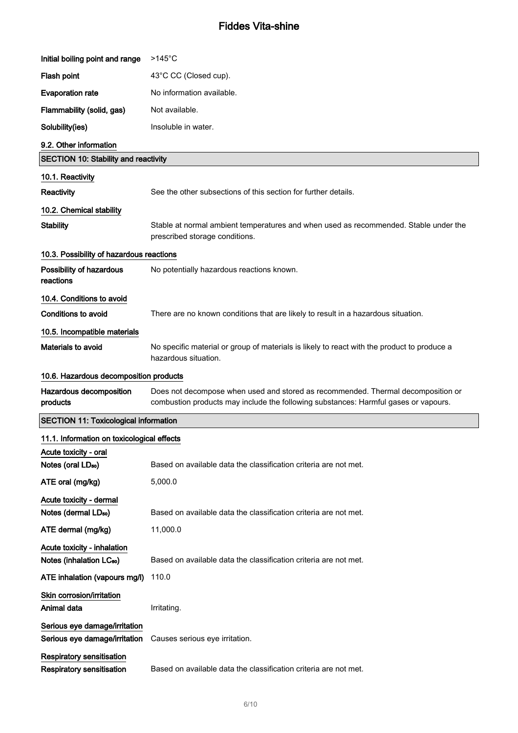| Initial boiling point and range                                     | $>145^{\circ}$ C                                                                                                                                                        |  |
|---------------------------------------------------------------------|-------------------------------------------------------------------------------------------------------------------------------------------------------------------------|--|
| Flash point                                                         | 43°C CC (Closed cup).                                                                                                                                                   |  |
| <b>Evaporation rate</b>                                             | No information available.                                                                                                                                               |  |
| Flammability (solid, gas)                                           | Not available.                                                                                                                                                          |  |
| Solubility(ies)                                                     | Insoluble in water.                                                                                                                                                     |  |
| 9.2. Other information                                              |                                                                                                                                                                         |  |
| <b>SECTION 10: Stability and reactivity</b>                         |                                                                                                                                                                         |  |
| 10.1. Reactivity                                                    |                                                                                                                                                                         |  |
| Reactivity                                                          | See the other subsections of this section for further details.                                                                                                          |  |
| 10.2. Chemical stability                                            |                                                                                                                                                                         |  |
| <b>Stability</b>                                                    | Stable at normal ambient temperatures and when used as recommended. Stable under the<br>prescribed storage conditions.                                                  |  |
| 10.3. Possibility of hazardous reactions                            |                                                                                                                                                                         |  |
| Possibility of hazardous<br>reactions                               | No potentially hazardous reactions known.                                                                                                                               |  |
| 10.4. Conditions to avoid                                           |                                                                                                                                                                         |  |
| <b>Conditions to avoid</b>                                          | There are no known conditions that are likely to result in a hazardous situation.                                                                                       |  |
| 10.5. Incompatible materials                                        |                                                                                                                                                                         |  |
| Materials to avoid                                                  | No specific material or group of materials is likely to react with the product to produce a<br>hazardous situation.                                                     |  |
| 10.6. Hazardous decomposition products                              |                                                                                                                                                                         |  |
|                                                                     |                                                                                                                                                                         |  |
| Hazardous decomposition<br>products                                 | Does not decompose when used and stored as recommended. Thermal decomposition or<br>combustion products may include the following substances: Harmful gases or vapours. |  |
| <b>SECTION 11: Toxicological information</b>                        |                                                                                                                                                                         |  |
| 11.1. Information on toxicological effects                          |                                                                                                                                                                         |  |
| Acute toxicity - oral                                               |                                                                                                                                                                         |  |
| Notes (oral LD <sub>50</sub> )                                      | Based on available data the classification criteria are not met.                                                                                                        |  |
| ATE oral (mg/kg)                                                    | 5,000.0                                                                                                                                                                 |  |
| Acute toxicity - dermal                                             |                                                                                                                                                                         |  |
| Notes (dermal LD <sub>50</sub> )                                    | Based on available data the classification criteria are not met.                                                                                                        |  |
| ATE dermal (mg/kg)                                                  | 11,000.0                                                                                                                                                                |  |
| Acute toxicity - inhalation<br>Notes (inhalation LC <sub>50</sub> ) | Based on available data the classification criteria are not met.                                                                                                        |  |
| ATE inhalation (vapours mg/l)                                       | 110.0                                                                                                                                                                   |  |
| Skin corrosion/irritation                                           |                                                                                                                                                                         |  |
| Animal data                                                         | Irritating.                                                                                                                                                             |  |
| Serious eye damage/irritation<br>Serious eye damage/irritation      | Causes serious eye irritation.                                                                                                                                          |  |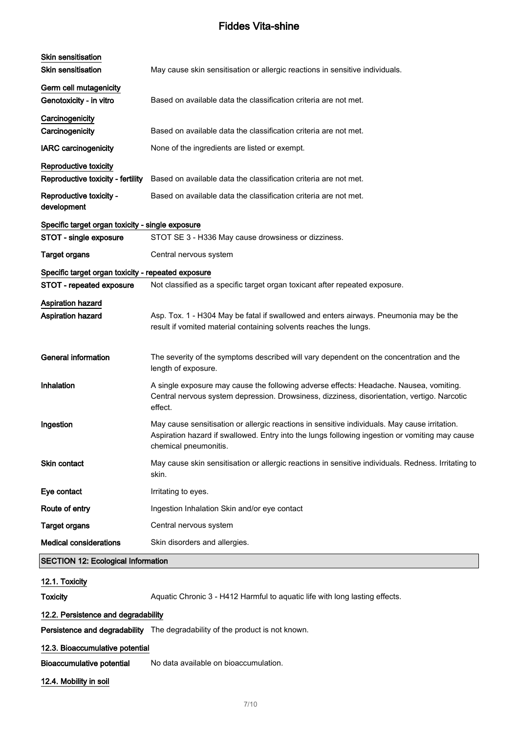| Skin sensitisation<br><b>Skin sensitisation</b>    | May cause skin sensitisation or allergic reactions in sensitive individuals.                                                                                                                                             |
|----------------------------------------------------|--------------------------------------------------------------------------------------------------------------------------------------------------------------------------------------------------------------------------|
|                                                    |                                                                                                                                                                                                                          |
| Germ cell mutagenicity<br>Genotoxicity - in vitro  | Based on available data the classification criteria are not met.                                                                                                                                                         |
| Carcinogenicity                                    |                                                                                                                                                                                                                          |
| Carcinogenicity                                    | Based on available data the classification criteria are not met.                                                                                                                                                         |
| <b>IARC</b> carcinogenicity                        | None of the ingredients are listed or exempt.                                                                                                                                                                            |
| Reproductive toxicity                              |                                                                                                                                                                                                                          |
| Reproductive toxicity - fertility                  | Based on available data the classification criteria are not met.                                                                                                                                                         |
| Reproductive toxicity -<br>development             | Based on available data the classification criteria are not met.                                                                                                                                                         |
| Specific target organ toxicity - single exposure   |                                                                                                                                                                                                                          |
| STOT - single exposure                             | STOT SE 3 - H336 May cause drowsiness or dizziness.                                                                                                                                                                      |
| <b>Target organs</b>                               | Central nervous system                                                                                                                                                                                                   |
| Specific target organ toxicity - repeated exposure |                                                                                                                                                                                                                          |
| STOT - repeated exposure                           | Not classified as a specific target organ toxicant after repeated exposure.                                                                                                                                              |
| <b>Aspiration hazard</b>                           |                                                                                                                                                                                                                          |
| <b>Aspiration hazard</b>                           | Asp. Tox. 1 - H304 May be fatal if swallowed and enters airways. Pneumonia may be the<br>result if vomited material containing solvents reaches the lungs.                                                               |
| <b>General information</b>                         | The severity of the symptoms described will vary dependent on the concentration and the<br>length of exposure.                                                                                                           |
| Inhalation                                         | A single exposure may cause the following adverse effects: Headache. Nausea, vomiting.<br>Central nervous system depression. Drowsiness, dizziness, disorientation, vertigo. Narcotic<br>effect.                         |
| Ingestion                                          | May cause sensitisation or allergic reactions in sensitive individuals. May cause irritation.<br>Aspiration hazard if swallowed. Entry into the lungs following ingestion or vomiting may cause<br>chemical pneumonitis. |
| <b>Skin contact</b>                                | May cause skin sensitisation or allergic reactions in sensitive individuals. Redness. Irritating to<br>skin.                                                                                                             |
| Eye contact                                        | Irritating to eyes.                                                                                                                                                                                                      |
| Route of entry                                     | Ingestion Inhalation Skin and/or eye contact                                                                                                                                                                             |
| <b>Target organs</b>                               | Central nervous system                                                                                                                                                                                                   |
| <b>Medical considerations</b>                      | Skin disorders and allergies.                                                                                                                                                                                            |
| <b>SECTION 12: Ecological Information</b>          |                                                                                                                                                                                                                          |
|                                                    |                                                                                                                                                                                                                          |
| 12.1. Toxicity<br><b>Toxicity</b>                  | Aquatic Chronic 3 - H412 Harmful to aquatic life with long lasting effects.                                                                                                                                              |
|                                                    |                                                                                                                                                                                                                          |
| 12.2. Persistence and degradability                |                                                                                                                                                                                                                          |

Persistence and degradability The degradability of the product is not known.

### 12.3. Bioaccumulative potential

Bioaccumulative potential No data available on bioaccumulation.

12.4. Mobility in soil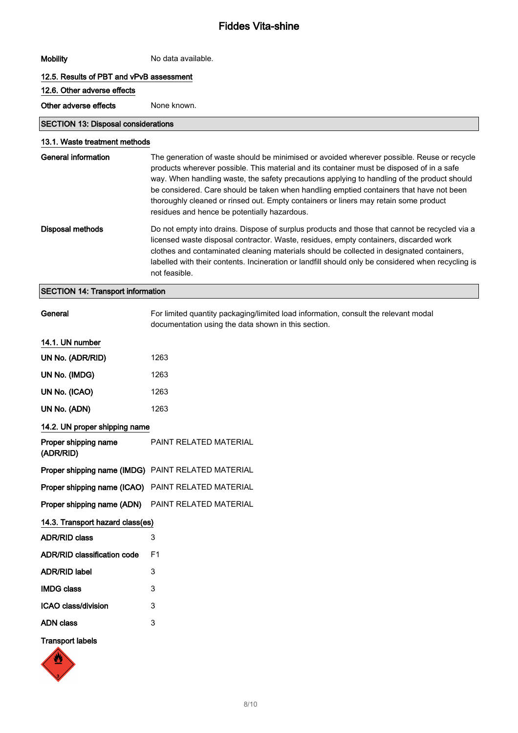| <b>Mobility</b>                                    | No data available.                                                                                                                                                                                                                                                                                                                                                                                                                                                                                                        |
|----------------------------------------------------|---------------------------------------------------------------------------------------------------------------------------------------------------------------------------------------------------------------------------------------------------------------------------------------------------------------------------------------------------------------------------------------------------------------------------------------------------------------------------------------------------------------------------|
| 12.5. Results of PBT and vPvB assessment           |                                                                                                                                                                                                                                                                                                                                                                                                                                                                                                                           |
| 12.6. Other adverse effects                        |                                                                                                                                                                                                                                                                                                                                                                                                                                                                                                                           |
| Other adverse effects                              | None known.                                                                                                                                                                                                                                                                                                                                                                                                                                                                                                               |
| <b>SECTION 13: Disposal considerations</b>         |                                                                                                                                                                                                                                                                                                                                                                                                                                                                                                                           |
| 13.1. Waste treatment methods                      |                                                                                                                                                                                                                                                                                                                                                                                                                                                                                                                           |
| General information                                | The generation of waste should be minimised or avoided wherever possible. Reuse or recycle<br>products wherever possible. This material and its container must be disposed of in a safe<br>way. When handling waste, the safety precautions applying to handling of the product should<br>be considered. Care should be taken when handling emptied containers that have not been<br>thoroughly cleaned or rinsed out. Empty containers or liners may retain some product<br>residues and hence be potentially hazardous. |
| <b>Disposal methods</b>                            | Do not empty into drains. Dispose of surplus products and those that cannot be recycled via a<br>licensed waste disposal contractor. Waste, residues, empty containers, discarded work<br>clothes and contaminated cleaning materials should be collected in designated containers,<br>labelled with their contents. Incineration or landfill should only be considered when recycling is<br>not feasible.                                                                                                                |
| <b>SECTION 14: Transport information</b>           |                                                                                                                                                                                                                                                                                                                                                                                                                                                                                                                           |
| General                                            | For limited quantity packaging/limited load information, consult the relevant modal<br>documentation using the data shown in this section.                                                                                                                                                                                                                                                                                                                                                                                |
| 14.1. UN number                                    |                                                                                                                                                                                                                                                                                                                                                                                                                                                                                                                           |
| UN No. (ADR/RID)                                   | 1263                                                                                                                                                                                                                                                                                                                                                                                                                                                                                                                      |
| UN No. (IMDG)                                      | 1263                                                                                                                                                                                                                                                                                                                                                                                                                                                                                                                      |
| UN No. (ICAO)                                      | 1263                                                                                                                                                                                                                                                                                                                                                                                                                                                                                                                      |
| UN No. (ADN)                                       | 1263                                                                                                                                                                                                                                                                                                                                                                                                                                                                                                                      |
| 14.2. UN proper shipping name                      |                                                                                                                                                                                                                                                                                                                                                                                                                                                                                                                           |
| Proper shipping name<br>(ADR/RID)                  | PAINT RELATED MATERIAL                                                                                                                                                                                                                                                                                                                                                                                                                                                                                                    |
| Proper shipping name (IMDG) PAINT RELATED MATERIAL |                                                                                                                                                                                                                                                                                                                                                                                                                                                                                                                           |
| Proper shipping name (ICAO) PAINT RELATED MATERIAL |                                                                                                                                                                                                                                                                                                                                                                                                                                                                                                                           |
| Proper shipping name (ADN) PAINT RELATED MATERIAL  |                                                                                                                                                                                                                                                                                                                                                                                                                                                                                                                           |
| 14.3. Transport hazard class(es)                   |                                                                                                                                                                                                                                                                                                                                                                                                                                                                                                                           |
| <b>ADR/RID class</b>                               | 3                                                                                                                                                                                                                                                                                                                                                                                                                                                                                                                         |
| <b>ADR/RID classification code</b>                 | F1                                                                                                                                                                                                                                                                                                                                                                                                                                                                                                                        |
| <b>ADR/RID label</b>                               | 3                                                                                                                                                                                                                                                                                                                                                                                                                                                                                                                         |
| <b>IMDG class</b>                                  | 3                                                                                                                                                                                                                                                                                                                                                                                                                                                                                                                         |
| ICAO class/division                                | 3                                                                                                                                                                                                                                                                                                                                                                                                                                                                                                                         |
| <b>ADN class</b>                                   | 3                                                                                                                                                                                                                                                                                                                                                                                                                                                                                                                         |
| <b>Transport labels</b>                            |                                                                                                                                                                                                                                                                                                                                                                                                                                                                                                                           |
| ♨                                                  |                                                                                                                                                                                                                                                                                                                                                                                                                                                                                                                           |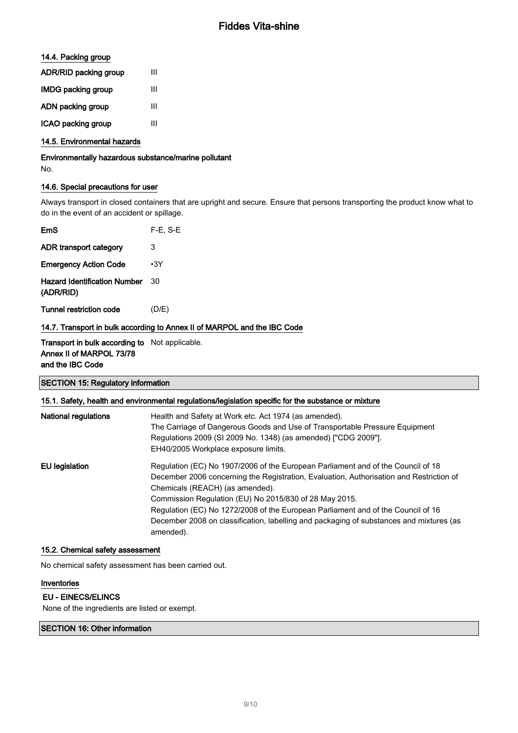### 14.4. Packing group

| <b>ADR/RID packing group</b> | Ш |
|------------------------------|---|
| <b>IMDG packing group</b>    | Ш |
| ADN packing group            | ш |
| ICAO packing group           | ш |

#### 14.5. Environmental hazards

Environmentally hazardous substance/marine pollutant No.

### 14.6. Special precautions for user

Always transport in closed containers that are upright and secure. Ensure that persons transporting the product know what to do in the event of an accident or spillage.

| EmS                                              | $F-E$ , S-E |
|--------------------------------------------------|-------------|
| ADR transport category                           | 3           |
| <b>Emergency Action Code</b>                     | $\cdot$ 3Y  |
| <b>Hazard Identification Number</b><br>(ADR/RID) | 30          |
| Tunnel restriction code                          | (D/E)       |

#### 14.7. Transport in bulk according to Annex II of MARPOL and the IBC Code

Transport in bulk according to Not applicable. Annex II of MARPOL 73/78 and the IBC Code

### SECTION 15: Regulatory information

| National regulations | Health and Safety at Work etc. Act 1974 (as amended).                                                |
|----------------------|------------------------------------------------------------------------------------------------------|
|                      | The Carriage of Dangerous Goods and Use of Transportable Pressure Equipment                          |
|                      | Regulations 2009 (SI 2009 No. 1348) (as amended) ["CDG 2009"].                                       |
|                      | EH40/2005 Workplace exposure limits.                                                                 |
| EU legislation       | Regulation (EC) No 1907/2006 of the European Parliament and of the Council of 18                     |
|                      | December 2006 concerning the Registration, Evaluation, Authorisation and Restriction of              |
|                      | Chemicals (REACH) (as amended).                                                                      |
|                      | Commission Regulation (EU) No 2015/830 of 28 May 2015.                                               |
|                      | Regulation (EC) No 1272/2008 of the European Parliament and of the Council of 16                     |
|                      | December 2008 on classification, labelling and packaging of substances and mixtures (as<br>amended). |

#### 15.2. Chemical safety assessment

No chemical safety assessment has been carried out.

#### Inventories

#### EU - EINECS/ELINCS

None of the ingredients are listed or exempt.

#### SECTION 16: Other information